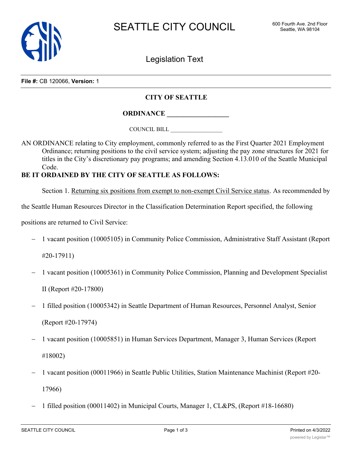

Legislation Text

**File #:** CB 120066, **Version:** 1

## **CITY OF SEATTLE**

**ORDINANCE \_\_\_\_\_\_\_\_\_\_\_\_\_\_\_\_\_\_**

COUNCIL BILL \_\_\_\_\_\_\_\_\_\_\_\_\_\_\_\_\_\_

AN ORDINANCE relating to City employment, commonly referred to as the First Quarter 2021 Employment Ordinance; returning positions to the civil service system; adjusting the pay zone structures for 2021 for titles in the City's discretionary pay programs; and amending Section 4.13.010 of the Seattle Municipal Code.

## **BE IT ORDAINED BY THE CITY OF SEATTLE AS FOLLOWS:**

Section 1. Returning six positions from exempt to non-exempt Civil Service status. As recommended by

the Seattle Human Resources Director in the Classification Determination Report specified, the following

positions are returned to Civil Service:

- 1 vacant position (10005105) in Community Police Commission, Administrative Staff Assistant (Report

#20-17911)

- 1 vacant position (10005361) in Community Police Commission, Planning and Development Specialist

II (Report #20-17800)

- 1 filled position (10005342) in Seattle Department of Human Resources, Personnel Analyst, Senior (Report #20-17974)
- 1 vacant position (10005851) in Human Services Department, Manager 3, Human Services (Report #18002)
- 1 vacant position (00011966) in Seattle Public Utilities, Station Maintenance Machinist (Report #20- 17966)
- 1 filled position (00011402) in Municipal Courts, Manager 1, CL&PS, (Report #18-16680)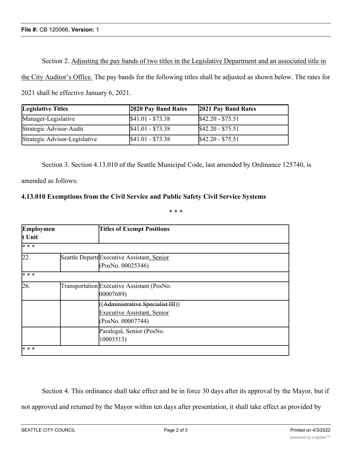Section 2. Adjusting the pay bands of two titles in the Legislative Department and an associated title in the City Auditor's Office. The pay bands for the following titles shall be adjusted as shown below. The rates for 2021 shall be effective January 6, 2021.

| <b>Legislative Titles</b>     | 2020 Pay Band Rates | 2021 Pay Band Rates |
|-------------------------------|---------------------|---------------------|
| Manager-Legislative           | $$41.01 - $73.38$   | $$42.20 - $75.51$   |
| Strategic Advisor-Audit       | $$41.01 - $73.38$   | $$42.20 - $75.51$   |
| Strategic Advisor-Legislative | $$41.01 - $73.38$   | $$42.20 - $75.51$   |

Section 3. Section 4.13.010 of the Seattle Municipal Code, last amended by Ordinance 125740, is

amended as follows:

## **4.13.010 Exemptions from the Civil Service and Public Safety Civil Service Systems**

\* \* \*

| Employmen<br>t Unit | <b>Titles of Exempt Positions</b>                                                            |
|---------------------|----------------------------------------------------------------------------------------------|
| * * *               |                                                                                              |
| $\overline{22}$ .   | Seattle DepartrExecutive Assistant, Senior<br>(PosNo. 00025346)                              |
| * * *               |                                                                                              |
| 26.                 | TransportationExecutive Assistant (PosNo.<br>00007689)                                       |
|                     | ((Administrative Specialist III))<br><b>Executive Assistant, Senior</b><br>(PosNo. 00007744) |
|                     | Paralegal, Senior (PosNo.<br>10003513)                                                       |

Section 4. This ordinance shall take effect and be in force 30 days after its approval by the Mayor, but if not approved and returned by the Mayor within ten days after presentation, it shall take effect as provided by